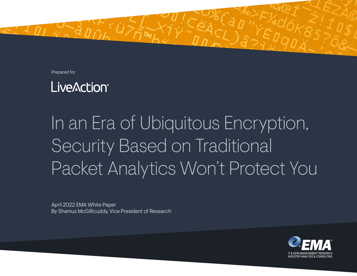Prepared for



# In an Era of Ubiquitous Encryption, Security Based on Traditional Packet Analytics Won't Protect You

April 2022 EMA White Paper By Shamus McGillicuddy, Vice President of Research

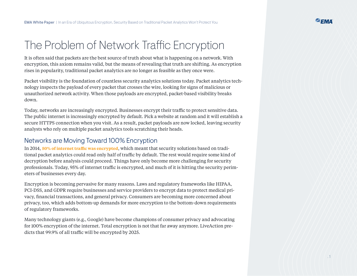## The Problem of Network Traffic Encryption

It is often said that packets are the best source of truth about what is happening on a network. With encryption, this axiom remains valid, but the means of revealing that truth are shifting. As encryption rises in popularity, traditional packet analytics are no longer as feasible as they once were.

Packet visibility is the foundation of countless security analytics solutions today. Packet analytics technology inspects the payload of every packet that crosses the wire, looking for signs of malicious or unauthorized network activity. When those payloads are encrypted, packet-based visibility breaks down.

Today, networks are increasingly encrypted. Businesses encrypt their traffic to protect sensitive data. The public internet is increasingly encrypted by default. Pick a website at random and it will establish a secure HTTPS connection when you visit. As a result, packet payloads are now locked, leaving security analysts who rely on multiple packet analytics tools scratching their heads.

#### Networks are Moving Toward 100% Encryption

In 2014, **[50% of internet traffic was encrypted](https://transparencyreport.google.com/https/overview?hl=en)**, which meant that security solutions based on traditional packet analytics could read only half of traffic by default. The rest would require some kind of decryption before analysis could proceed. Things have only become more challenging for security professionals. Today, 95% of internet traffic is encrypted, and much of it is hitting the security perimeters of businesses every day.

Encryption is becoming pervasive for many reasons. Laws and regulatory frameworks like HIPAA, PCI-DSS, and GDPR require businesses and service providers to encrypt data to protect medical privacy, financial transactions, and general privacy. Consumers are becoming more concerned about privacy, too, which adds bottom-up demands for more encryption to the bottom-down requirements of regulatory frameworks.

Many technology giants (e.g., Google) have become champions of consumer privacy and advocating for 100% encryption of the internet. Total encryption is not that far away anymore. LiveAction predicts that 99.9% of all traffic will be encrypted by 2025.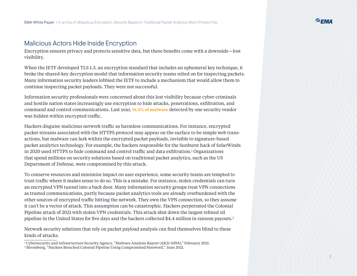#### Malicious Actors Hide Inside Encryption

Encryption ensures privacy and protects sensitive data, but these benefits come with a downside—lost visibility.

When the IETF developed TLS 1.3, an encryption standard that includes an ephemeral key technique, it broke the shared-key decryption model that information security teams relied on for inspecting packets. Many information security leaders lobbied the IETF to include a mechanism that would allow them to continue inspecting packet payloads. They were not successful.

Information security professionals were concerned about this lost visibility because cyber-criminals and hostile nation states increasingly use encryption to hide attacks, penetrations, exfiltration, and command and control communications. Last year, **[91.5% of malware](https://www.securitymagazine.com/articles/96224-915-of-malware-arrived-over-encrypted-connections)** detected by one security vendor was hidden within encrypted traffic.

Hackers disguise malicious network traffic as harmless communications. For instance, encrypted packet streams associated with the HTTPS protocol may appear on the surface to be simple web transactions, but malware can lurk within the encrypted packet payloads, invisible to signature-based packet analytics technology. For example, the hackers responsible for the Sunburst hack of SolarWinds in 2020 used HTTPS to hide command and control traffic and data exfiltration.1 Organizations that spend millions on security solutions based on traditional packet analytics, such as the US Department of Defense, were compromised by this attack.

To conserve resources and minimize impact on user experience, some security teams are tempted to trust traffic where it makes sense to do so. This is a mistake. For instance, stolen credentials can turn an encrypted VPN tunnel into a back door. Many information security groups treat VPN connections as trusted communications, partly because packet analytics tools are already overburdened with the other sources of encrypted traffic hitting the network. They own the VPN connection, so they assume it can't be a vector of attack. This assumption can be catastrophic. Hackers perpetrated the Colonial Pipeline attack of 2021 with stolen VPN credentials. This attack shut down the largest refined oil pipeline in the United States for five days and the hackers collected \$4.4 million in ransom payouts.2

Network security solutions that rely on packet payload analysis can find themselves blind to these kinds of attacks.

<sup>1</sup> Cybersecurity and Infrastructure Security Agency, "Malware Analysis Report (AR21-039A)," February 2021.

<sup>2</sup> Bloomberg, "Hackers Breached Colonial Pipeline Using Compromised Password," June 2021.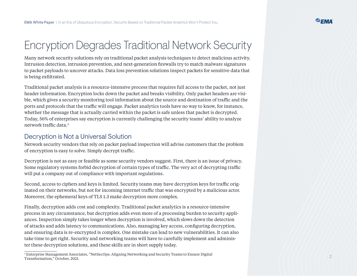### Encryption Degrades Traditional Network Security

Many network security solutions rely on traditional packet analysis techniques to detect malicious activity. Intrusion detection, intrusion prevention, and next-generation firewalls try to match malware signatures to packet payloads to uncover attacks. Data loss prevention solutions inspect packets for sensitive data that is being exfiltrated.

Traditional packet analysis is a resource-intensive process that requires full access to the packet, not just header information. Encryption locks down the packet and breaks visibility. Only packet headers are visible, which gives a security monitoring tool information about the source and destination of traffic and the ports and protocols that the traffic will engage. Packet analytics tools have no way to know, for instance, whether the message that is actually carried within the packet is safe unless that packet is decrypted. Today, 56% of enterprises say encryption is currently challenging the security teams' ability to analyze network traffic data.3

#### Decryption is Not a Universal Solution

Network security vendors that rely on packet payload inspection will advise customers that the problem of encryption is easy to solve. Simply decrypt traffic.

Decryption is not as easy or feasible as some security vendors suggest. First, there is an issue of privacy. Some regulatory systems forbid decryption of certain types of traffic. The very act of decrypting traffic will put a company out of compliance with important regulations.

Second, access to ciphers and keys is limited. Security teams may have decryption keys for traffic originated on their networks, but not for incoming internet traffic that was encrypted by a malicious actor. Moreover, the ephemeral keys of TLS 1.3 make decryption more complex.

Finally, decryption adds cost and complexity. Traditional packet analytics is a resource-intensive process in any circumstance, but decryption adds even more of a processing burden to security appliances. Inspection simply takes longer when decryption is involved, which slows down the detection of attacks and adds latency to communications. Also, managing key access, configuring decryption, and ensuring data is re-encrypted is complex. One mistake can lead to new vulnerabilities. It can also take time to get right. Security and networking teams will have to carefully implement and administer these decryption solutions, and these skills are in short supply today.

<sup>3</sup> Enterprise Management Associates, "NetSecOps: Aligning Networking and Security Teams to Ensure Digital Transformation," October, 2021.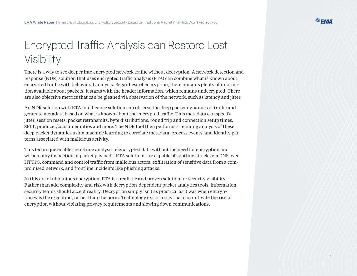## Encrypted Traffic Analysis can Restore Lost Visibility

There is a way to see deeper into encrypted network traffic without decryption. A network detection and response (NDR) solution that uses encrypted traffic analysis (ETA) can combine what is known about encrypted traffic with behavioral analysis. Regardless of encryption, there remains plenty of information available about packets. It starts with the header information, which remains undecrypted. There are also objective metrics that can be gleaned via observation of the network, such as latency and jitter.

An NDR solution with ETA intelligence solution can observe the deep packet dynamics of traffic and generate metadata based on what is known about the encrypted traffic. This metadata can specify jitter, session resets, packet retransmits, byte distributions, round trip and connection setup times, SPLT, producer/consumer ratios and more. The NDR tool then performs streaming analysis of these deep packet dynamics using machine learning to correlate metadata, process events, and identity patterns associated with malicious activity.

This technique enables real-time analysis of encrypted data without the need for encryption and without any inspection of packet payloads. ETA solutions are capable of spotting attacks via DNS over HTTPS, command and control traffic from malicious actors, exfiltration of sensitive data from a compromised network, and frontline incidents like phishing attacks.

In this era of ubiquitous encryption, ETA is a realistic and proven solution for security visibility. Rather than add complexity and risk with decryption-dependent packet analytics tools, information security teams should accept reality. Decryption simply isn't as practical as it was when encryption was the exception, rather than the norm. Technology exists today that can mitigate the rise of encryption without violating privacy requirements and slowing down communications.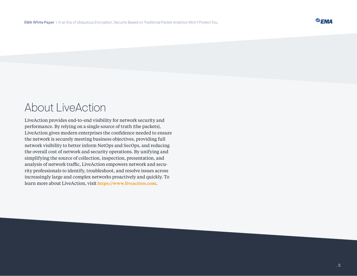### About LiveAction

LiveAction provides end-to-end visibility for network security and performance. By relying on a single source of truth (the packets), LiveAction gives modern enterprises the confidence needed to ensure the network is securely meeting business objectives, providing full network visibility to better inform NetOps and SecOps, and reducing the overall cost of network and security operations. By unifying and simplifying the source of collection, inspection, presentation, and analysis of network traffic, LiveAction empowers network and security professionals to identify, troubleshoot, and resolve issues across increasingly large and complex networks proactively and quickly. To learn more about LiveAction, visit **[https://www.liveaction.com](https://www.liveaction.com/)**.

**P.EMA**